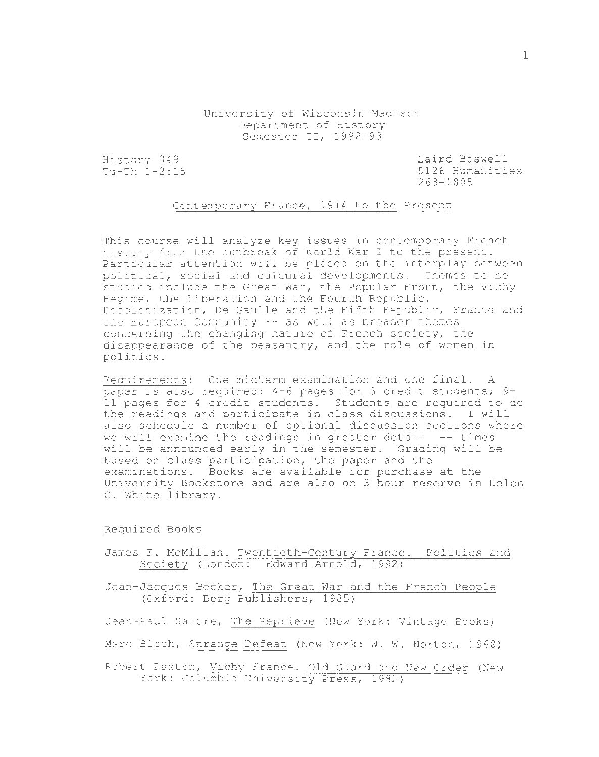## University of Wisconsin-Madison Department of History Semester II, 1992-93

History 349  $Tu-Th^{-1}-2:15$  Laird Boswell 5126 Humanities 263-1805

## Contemporary France, 1914 to the Present

This course will analyze key issues in contemporary French history from the outbreak of World War I to the present. Particular attention will be placed on the interplay between political, social and cultural developments. Themes to be studied include the Great War, the Popular Front, the Vichy Regime, the Liberation and the Fourth Republic, Decolonization, De Gaulle and the Fifth Republic, France and the European Community  $-$  as well as broader themes concerning the changing nature of French society, the disappearance of the peasantry, and the role of women in politics.

Requirements: One midterm examination and one final. A paper is also required : 4-6 pages for 3 credit students; 9- 11 pages for 4 credit students. Students are required to do the readings and participate in class discussions . I will also schedule a number of optional discussion sections where we will examine the readings in greater detail -- times will be announced early in the semester. Grading will be based on class participation, the paper and the examinations. Books are available for purchase at the University Bookstore and are also on 3 hour reserve in Helen C. White library .

## Required Books

- James F. McMillan. Twentieth-Century France. Politics and Society (London: Edward Arnold, 1992)
- Jean-Jacques Becker, The Great War and the French People (Cxford: Berg Publishers, 1985)

Jean-Paul Sartre, The Reprieve (New York: Vintage Books)

- Marc Bloch , Strange Defeat (New York: w. w. Norton, 1968)
- Robert Paxton, Vichy France. Old Guard and New Order (New York: Columbia University Press, 1982)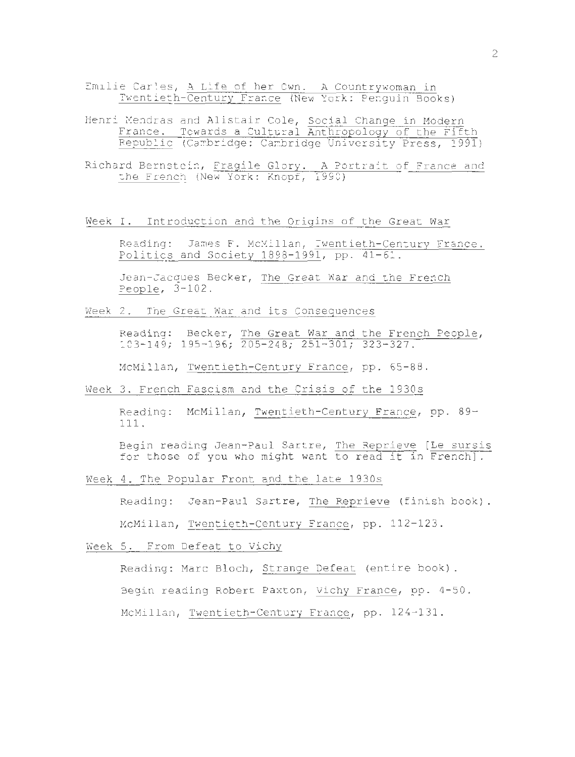- Emilie Carles, A Life of her Cwn. A Countrywoman in Twentieth-Century France (New York: Penguin Books)
- Henri Mendras and Alistair Cole, Social Change in Modern France. Towards a Cultural Anthropology of the Fifth Republic (Cambridge: Cambridge University Press, 1991)
- Richard Bernstein, Fragile Glory. A Portrait of France and the French (New York: Knopf, 1990)

Week I. Introduction and the Origins of the Great War

Reading: James F. McMillan, Twentieth-Century France. Politics and Society  $1898-1991$ , pp.  $41-61$ .

Jean-Jacques Becker, The Great War and the French People, 3-102 .

Week 2. The Great War and its Consequences

Reading: Becker, The Great War and the French People,  $103-149$ ; 195-196;  $205-248$ ; 251-301; 323-327.

McMillan, Twentieth-Century France, pp. 65-88.

Week 3. French Fascism and the Crisis of the 1930s

Reading: McMillan, Twentieth-Century France, pp. 89-111.

Begin reading Jean-Paul Sartre, The Reprieve [Le sursis for those of you who might want to read it in French].

Week 4. The Popular Front and the late 1930s

Reading: Jean-Paul Sartre, The Reprieve (finish book).

McMillan, Twentieth-Century France, pp. 112-123.

Week 5. From Defeat to Vichy

Reading: Marc Bloch, Strange Defeat (entire book).

Begin reading Robert Paxton, Vichy France, pp. 4-50.

McMillan, Twentieth-Century France, pp. 124-131.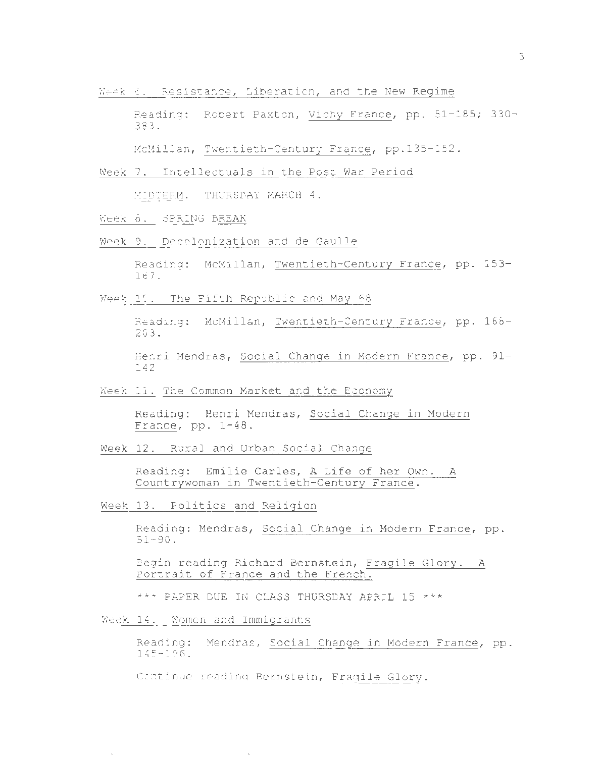Week 6. Resistance, Liberation, and the New Regime

Reading: Robert Paxton, Vichy France, pp. 51-185; 330-383 .

McMillan, Twentieth-Century France, pp.135-152.

Week 7. Intellectuals in the Post War Period

IIIJIDTERM . THURSDAY MARCH 4 .

Week 8 . SPRING BREAK

Week 9. Decolonization and de Gaulle

Reading: McMillan, Twentieth-Century France, pp. 153-167.

Week 10. The Fifth Republic and May 68

Reading: McMillan, Twentieth-Century France, pp. 168-203.

Henri Mendras, Social Change in Modern France, pp. 91- $142$ 

Week 11 . The Common Market and the Economy

Reading: Henri Mendras, Social Change in Modern France,  $pp. 1-48.$ 

Week 12. Rural and Urban Social Change

Reading: Emilie Carles, A Life of her Own. A Countrywoman in Twentieth-Century France .

Week 13. Politics and Religion

Reading : Mendras, Social Change in Modern France, pp.  $51 - 90$ .

Begin reading Richard Bernstein, Fragile Glory. A Portrait of France and the French.

\*\*\* PAPER DUE IN CLASS THURSDAY APRIL 15 \*\*\*

Week 14. Women and Immigrants

Reading: Mendras, Social Change in Modern France, pp. 145-196 .

Continue reading Bernstein, Fragile Glory.